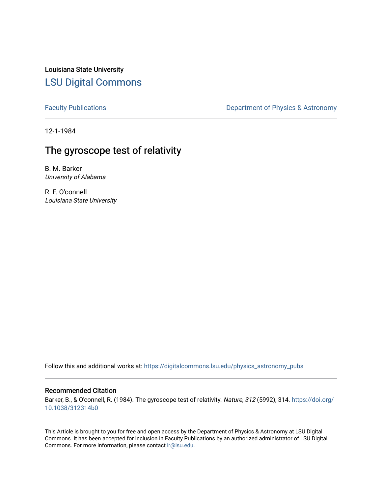Louisiana State University [LSU Digital Commons](https://digitalcommons.lsu.edu/)

[Faculty Publications](https://digitalcommons.lsu.edu/physics_astronomy_pubs) **Exercise 2** Constant Department of Physics & Astronomy

12-1-1984

# The gyroscope test of relativity

B. M. Barker University of Alabama

R. F. O'connell Louisiana State University

Follow this and additional works at: [https://digitalcommons.lsu.edu/physics\\_astronomy\\_pubs](https://digitalcommons.lsu.edu/physics_astronomy_pubs?utm_source=digitalcommons.lsu.edu%2Fphysics_astronomy_pubs%2F4020&utm_medium=PDF&utm_campaign=PDFCoverPages) 

#### Recommended Citation

Barker, B., & O'connell, R. (1984). The gyroscope test of relativity. Nature, 312 (5992), 314. [https://doi.org/](https://doi.org/10.1038/312314b0) [10.1038/312314b0](https://doi.org/10.1038/312314b0)

This Article is brought to you for free and open access by the Department of Physics & Astronomy at LSU Digital Commons. It has been accepted for inclusion in Faculty Publications by an authorized administrator of LSU Digital Commons. For more information, please contact [ir@lsu.edu](mailto:ir@lsu.edu).